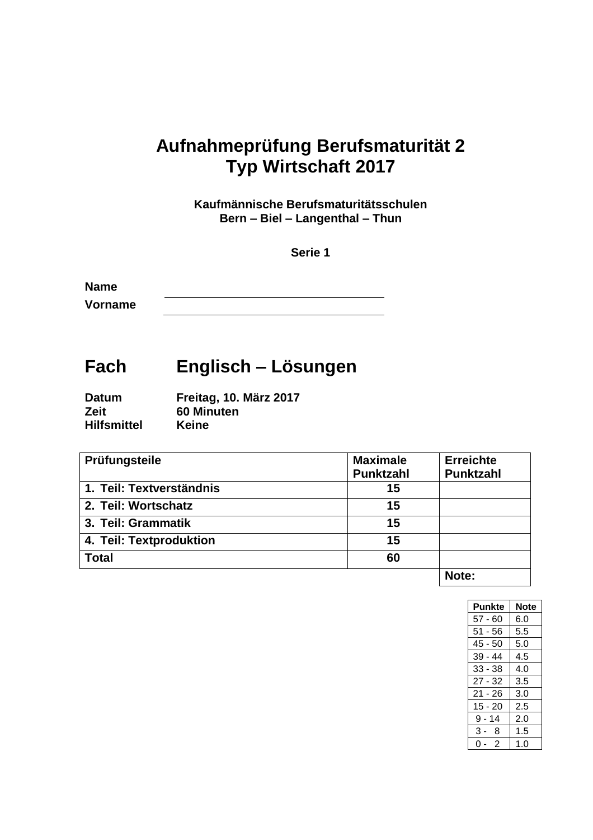# **Aufnahmeprüfung Berufsmaturität 2 Typ Wirtschaft 2017**

**Kaufmännische Berufsmaturitätsschulen Bern – Biel – Langenthal – Thun**

**Serie 1**

**Name Vorname**

# **Fach Englisch – Lösungen**

| <b>Datum</b>       | Freitag, 10. März 2017 |
|--------------------|------------------------|
| <b>Zeit</b>        | 60 Minuten             |
| <b>Hilfsmittel</b> | <b>Keine</b>           |

| Prüfungsteile            | <b>Maximale</b> | <b>Erreichte</b> |
|--------------------------|-----------------|------------------|
|                          | Punktzahl       | <b>Punktzahl</b> |
| 1. Teil: Textverständnis | 15              |                  |
| 2. Teil: Wortschatz      | 15              |                  |
| 3. Teil: Grammatik       | 15              |                  |
| 4. Teil: Textproduktion  | 15              |                  |
| <b>Total</b>             | 60              |                  |
|                          |                 | .                |

**Note:**

| <b>Punkte</b> | <b>Note</b> |
|---------------|-------------|
| $57 - 60$     | 6.0         |
| $51 - 56$     | 5.5         |
| 45 - 50       | 5.0         |
| $39 - 44$     | 4.5         |
| $33 - 38$     | 4.0         |
| $27 - 32$     | 3.5         |
| $21 - 26$     | 3.0         |
| $15 - 20$     | 2.5         |
| $9 - 14$      | 2.0         |
| 3-8           | 1.5         |
| -2<br>ი       | 1.0         |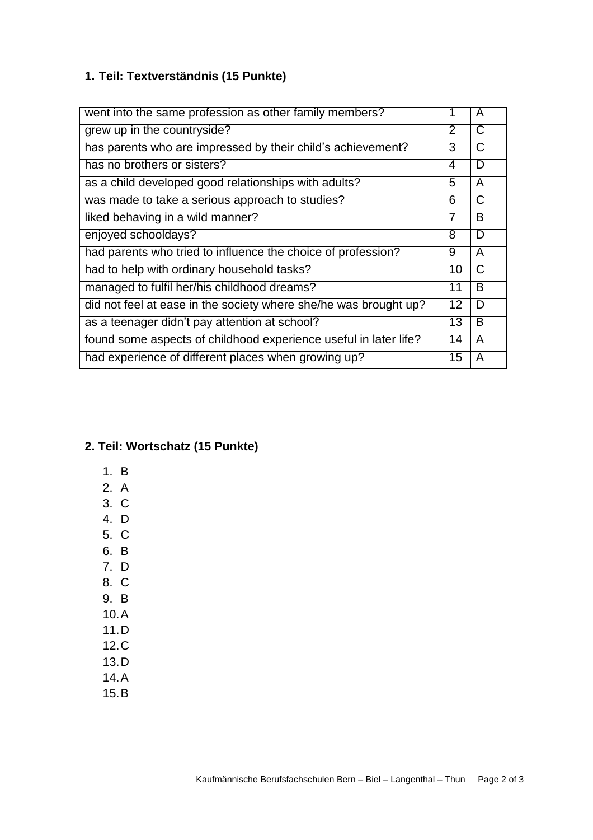# **1. Teil: Textverständnis (15 Punkte)**

| went into the same profession as other family members?           |   | A                     |
|------------------------------------------------------------------|---|-----------------------|
| grew up in the countryside?                                      |   | $\overline{\text{C}}$ |
| has parents who are impressed by their child's achievement?      |   | $\mathsf{C}$          |
| has no brothers or sisters?                                      | 4 | D                     |
| as a child developed good relationships with adults?             |   | $\overline{A}$        |
| was made to take a serious approach to studies?                  |   | $\overline{C}$        |
| liked behaving in a wild manner?                                 |   | B                     |
| enjoyed schooldays?                                              |   | D                     |
| had parents who tried to influence the choice of profession?     | 9 | $\overline{A}$        |
| had to help with ordinary household tasks?                       |   | $\overline{C}$        |
| managed to fulfil her/his childhood dreams?                      |   | B                     |
| did not feel at ease in the society where she/he was brought up? |   | D                     |
| as a teenager didn't pay attention at school?                    |   | B                     |
| found some aspects of childhood experience useful in later life? |   | A                     |
| had experience of different places when growing up?              |   | A                     |

## **2. Teil: Wortschatz (15 Punkte)**

- 1. B
- 2. A
- 3. C
- 4. D
- 5. C
- 6. B
- 7. D
- 8. C
- 9. B
- 10.A
- 11.D
- 12.C 13.D
- 14.A
- 15.B